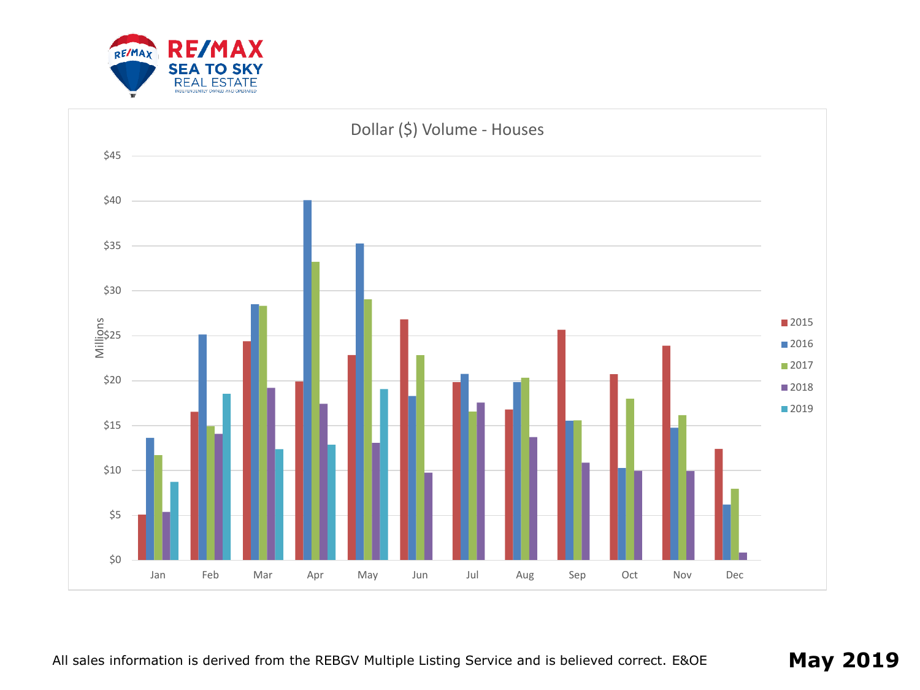

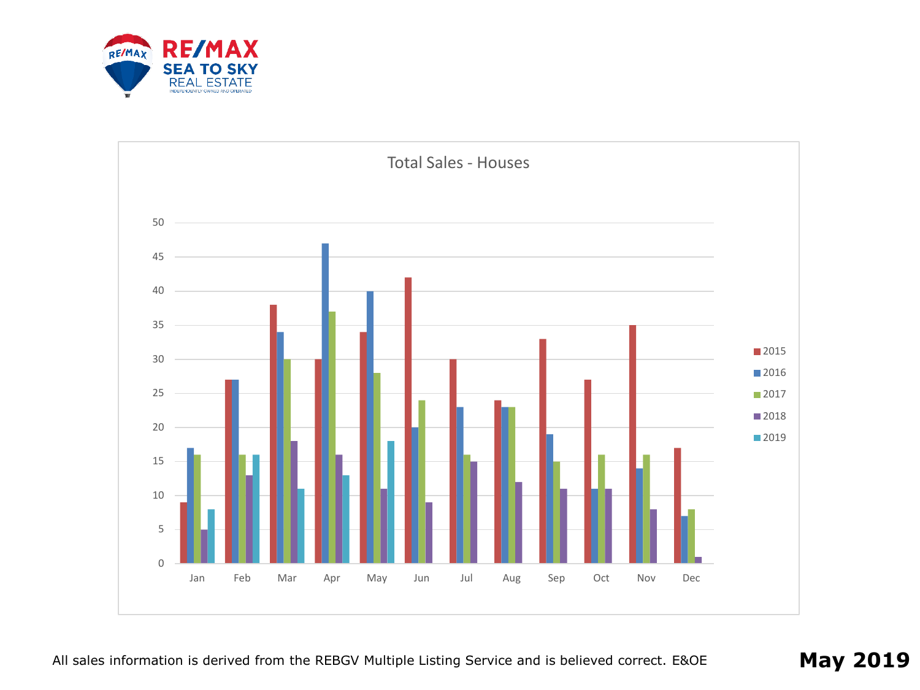

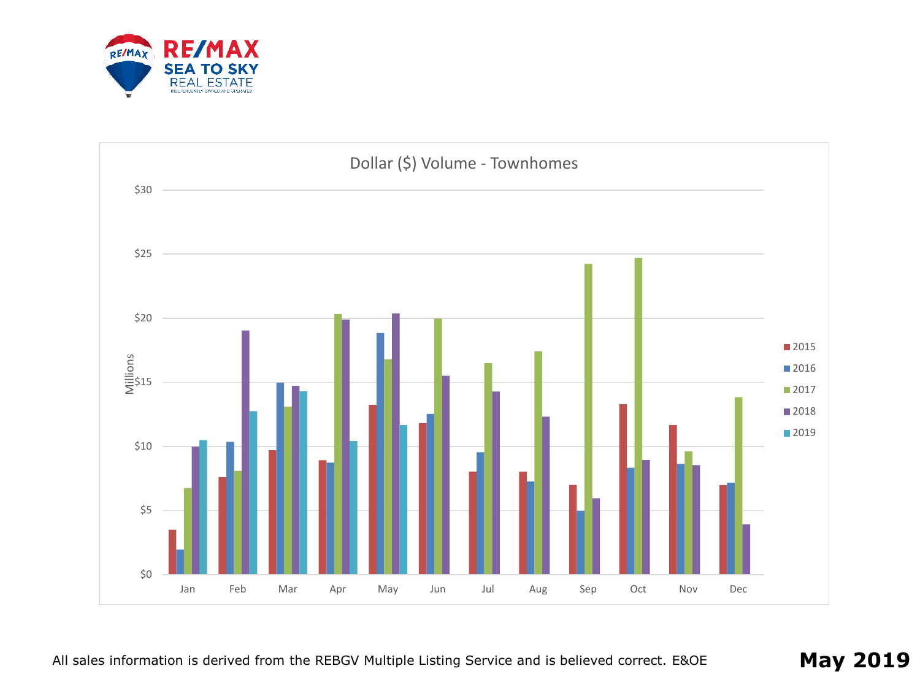

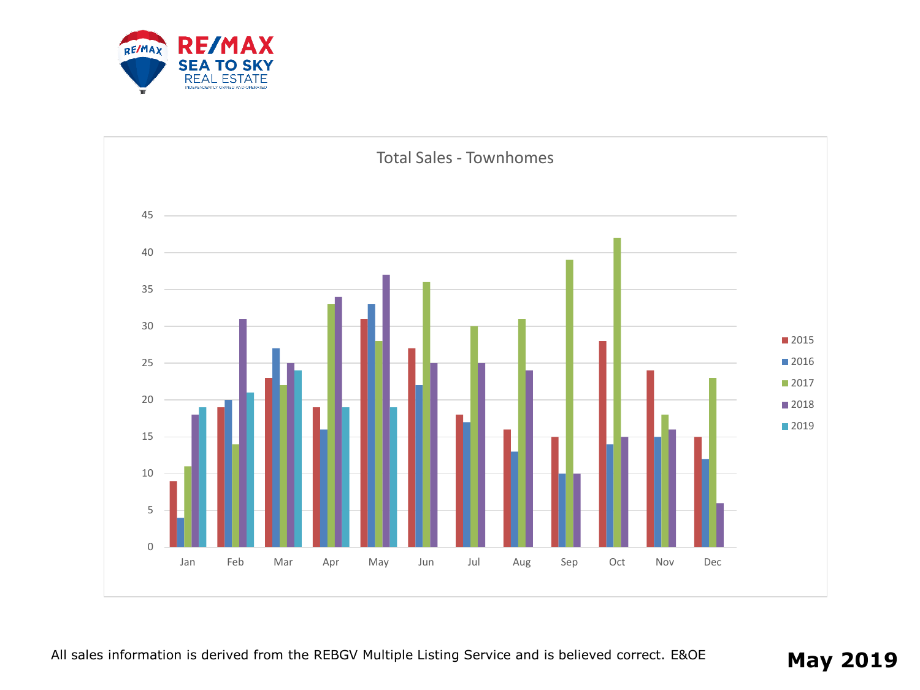

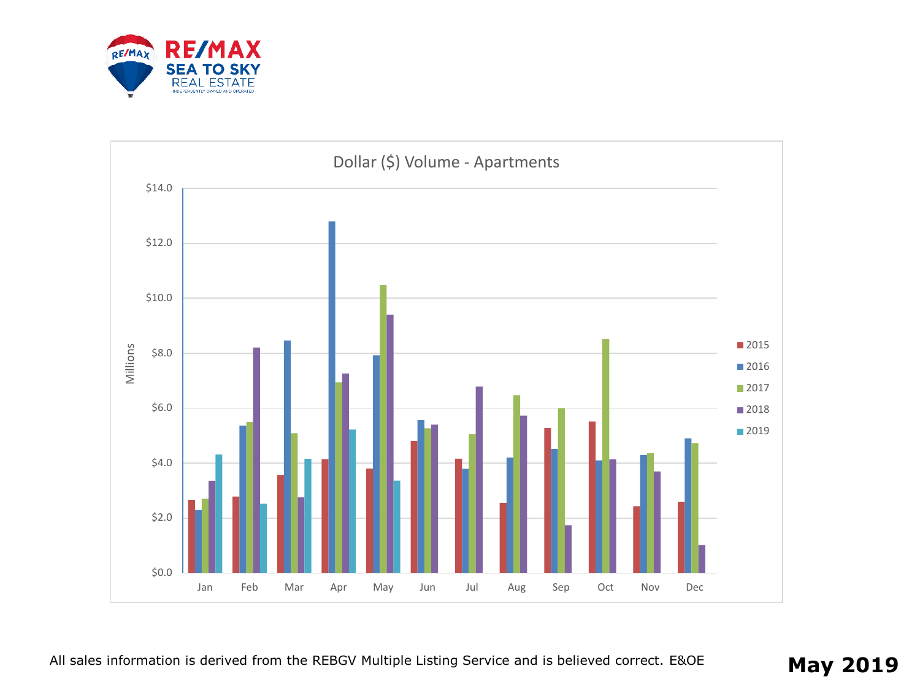

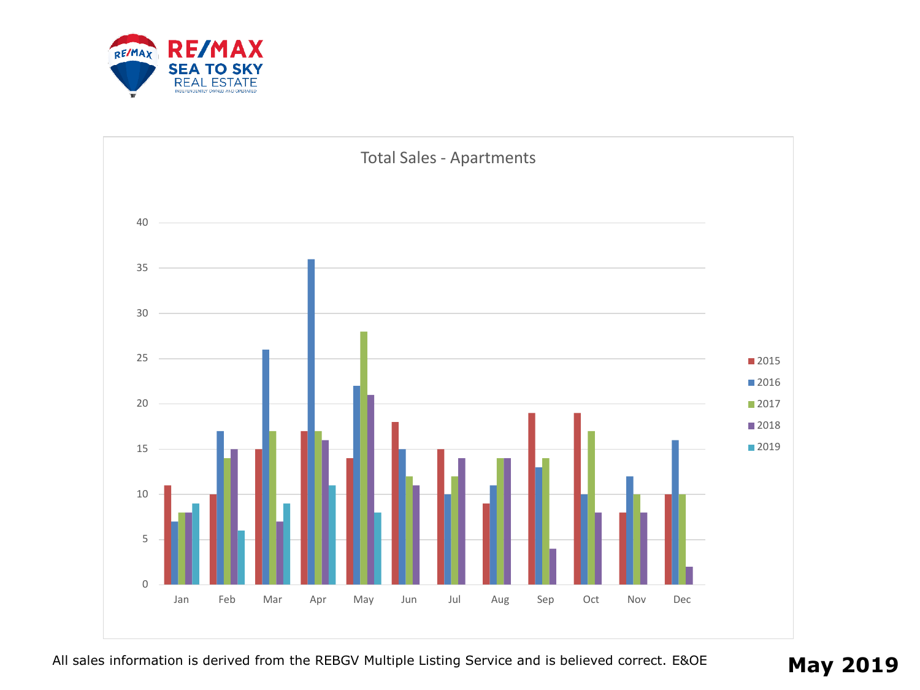

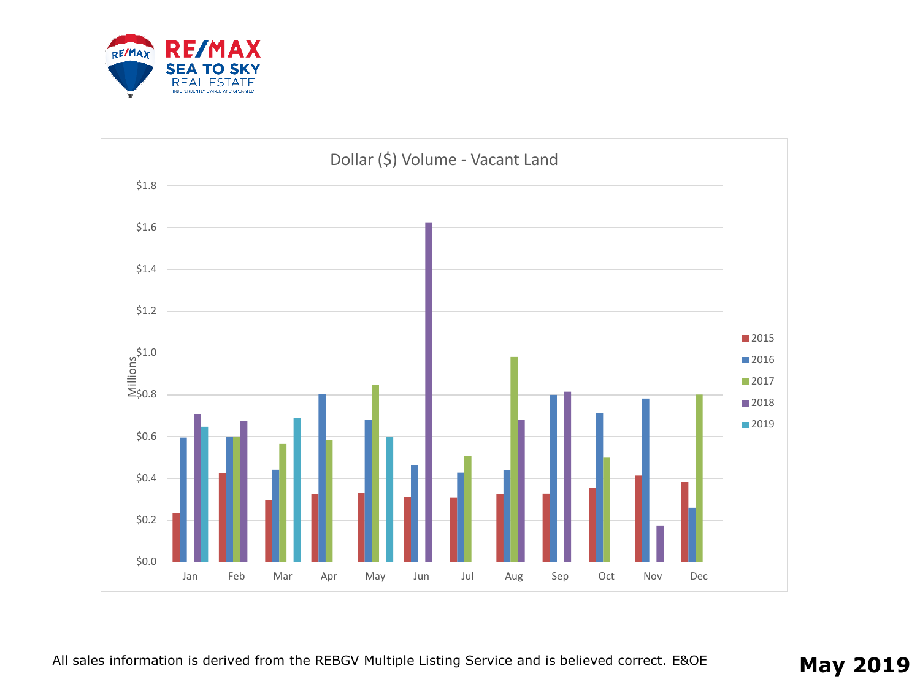

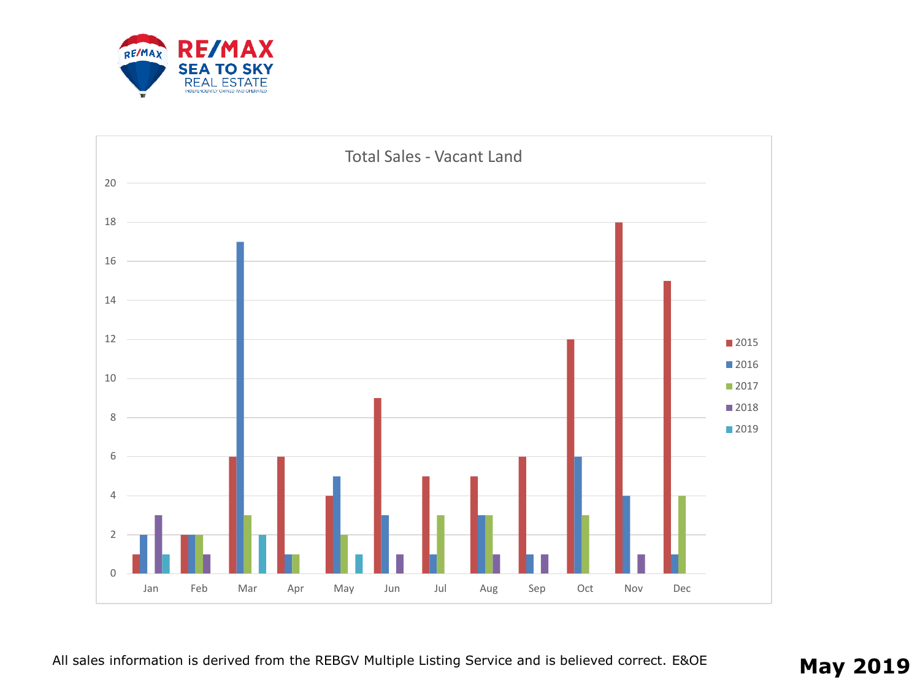

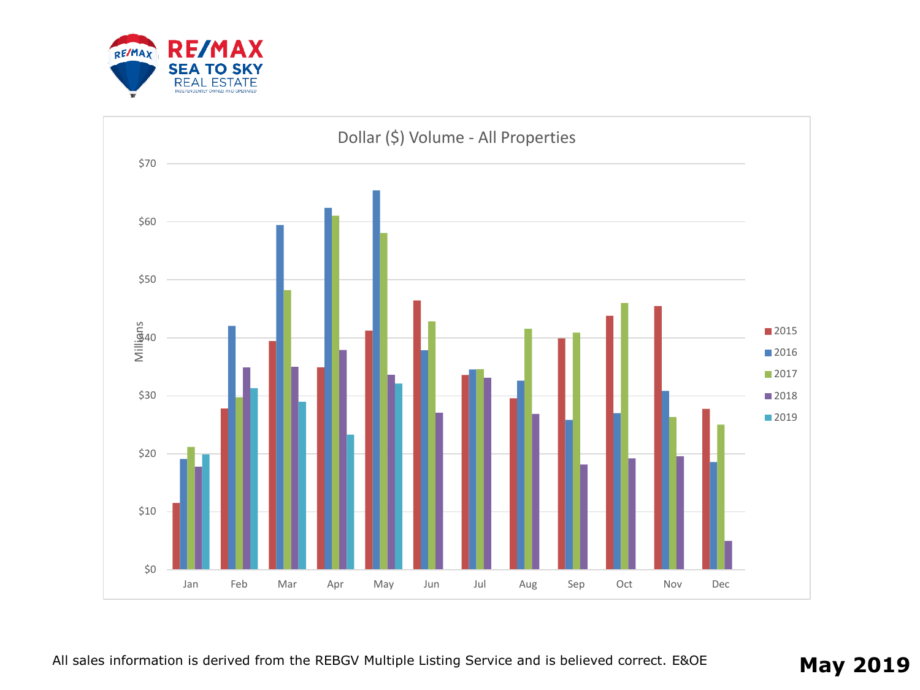

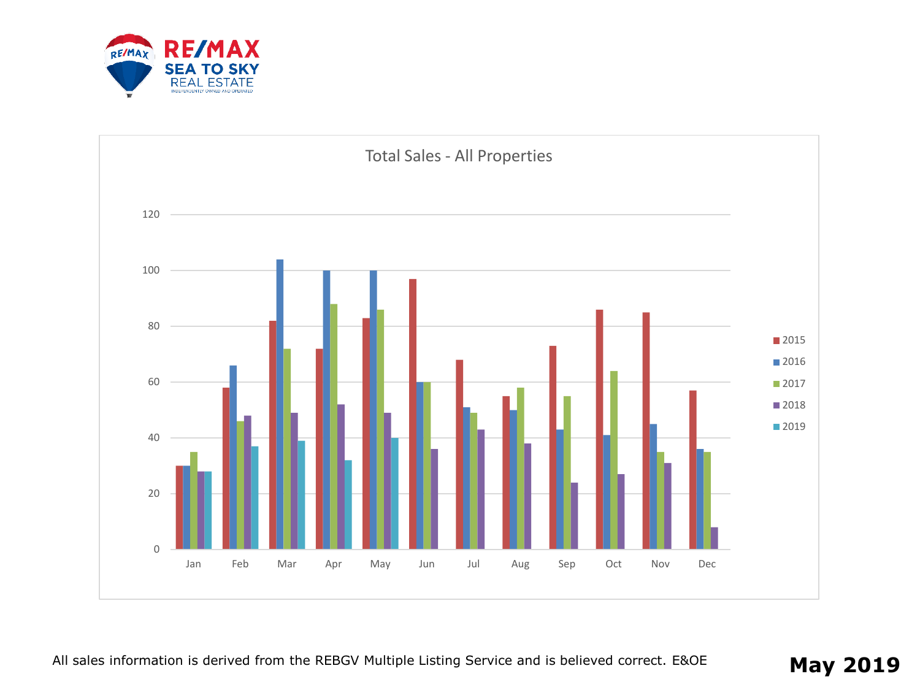

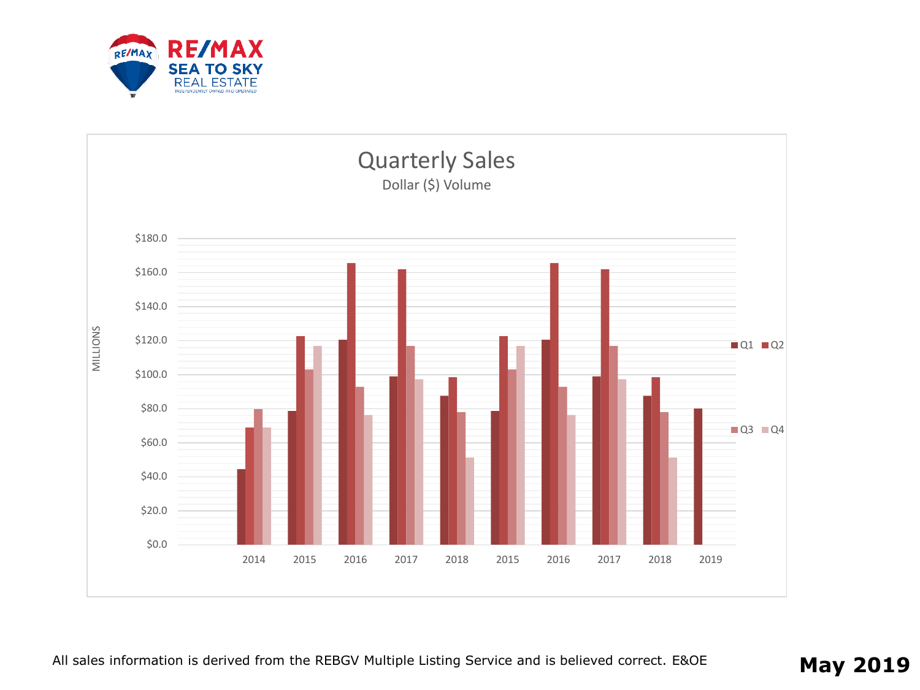